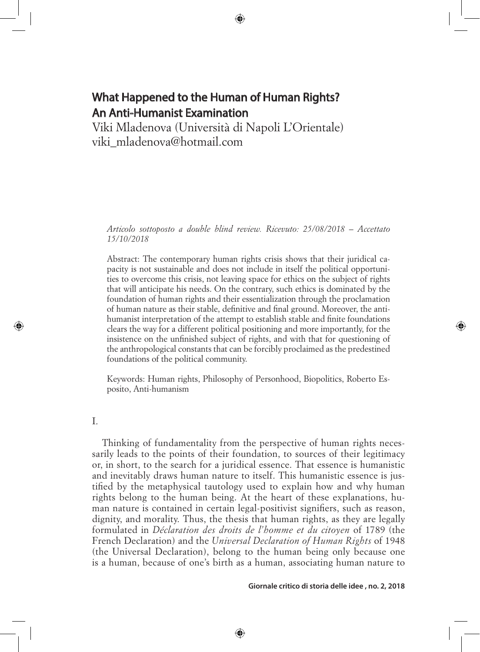# What Happened to the Human of Human Rights? An Anti-Humanist Examination

⊕

Viki Mladenova (Università di Napoli L'Orientale) viki\_mladenova@hotmail.com

*Articolo sottoposto a double blind review. Ricevuto: 25/08/2018 – Accettato 15/10/2018*

Abstract: The contemporary human rights crisis shows that their juridical capacity is not sustainable and does not include in itself the political opportunities to overcome this crisis, not leaving space for ethics on the subject of rights that will anticipate his needs. On the contrary, such ethics is dominated by the foundation of human rights and their essentialization through the proclamation of human nature as their stable, definitive and final ground. Moreover, the antihumanist interpretation of the attempt to establish stable and finite foundations clears the way for a different political positioning and more importantly, for the insistence on the unfinished subject of rights, and with that for questioning of the anthropological constants that can be forcibly proclaimed as the predestined foundations of the political community.

Keywords: Human rights, Philosophy of Personhood, Biopolitics, Roberto Esposito, Anti-humanism

I.

⊕

Thinking of fundamentality from the perspective of human rights necessarily leads to the points of their foundation, to sources of their legitimacy or, in short, to the search for a juridical essence. That essence is humanistic and inevitably draws human nature to itself. This humanistic essence is justified by the metaphysical tautology used to explain how and why human rights belong to the human being. At the heart of these explanations, human nature is contained in certain legal-positivist signifiers, such as reason, dignity, and morality. Thus, the thesis that human rights, as they are legally formulated in *Déclaration des droits de l'homme et du citoyen* of 1789 (the French Declaration) and the *Universal Declaration of Human Rights* of 1948 (the Universal Declaration), belong to the human being only because one is a human, because of one's birth as a human, associating human nature to

⊕

**Giornale critico di storia delle idee , no. 2, 2018**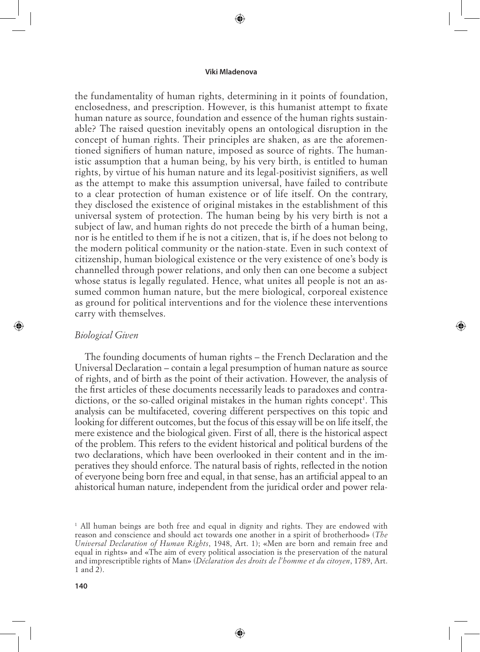⊕

the fundamentality of human rights, determining in it points of foundation, enclosedness, and prescription. However, is this humanist attempt to fixate human nature as source, foundation and essence of the human rights sustainable? The raised question inevitably opens an ontological disruption in the concept of human rights. Their principles are shaken, as are the aforementioned signifiers of human nature, imposed as source of rights. The humanistic assumption that a human being, by his very birth, is entitled to human rights, by virtue of his human nature and its legal-positivist signifiers, as well as the attempt to make this assumption universal, have failed to contribute to a clear protection of human existence or of life itself. On the contrary, they disclosed the existence of original mistakes in the establishment of this universal system of protection. The human being by his very birth is not a subject of law, and human rights do not precede the birth of a human being, nor is he entitled to them if he is not a citizen, that is, if he does not belong to the modern political community or the nation-state. Even in such context of citizenship, human biological existence or the very existence of one's body is channelled through power relations, and only then can one become a subject whose status is legally regulated. Hence, what unites all people is not an assumed common human nature, but the mere biological, corporeal existence as ground for political interventions and for the violence these interventions carry with themselves.

## *Biological Given*

⊕

The founding documents of human rights – the French Declaration and the Universal Declaration – contain a legal presumption of human nature as source of rights, and of birth as the point of their activation. However, the analysis of the first articles of these documents necessarily leads to paradoxes and contradictions, or the so-called original mistakes in the human rights concept<sup>1</sup>. This analysis can be multifaceted, covering different perspectives on this topic and looking for different outcomes, but the focus of this essay will be on life itself, the mere existence and the biological given. First of all, there is the historical aspect of the problem. This refers to the evident historical and political burdens of the two declarations, which have been overlooked in their content and in the imperatives they should enforce. The natural basis of rights, reflected in the notion of everyone being born free and equal, in that sense, has an artificial appeal to an ahistorical human nature, independent from the juridical order and power rela⊕

<sup>&</sup>lt;sup>1</sup> All human beings are both free and equal in dignity and rights. They are endowed with reason and conscience and should act towards one another in a spirit of brotherhood» (*The Universal Declaration of Human Rights*, 1948, Art. 1); «Men are born and remain free and equal in rights» and «The aim of every political association is the preservation of the natural and imprescriptible rights of Man» (*Déclaration des droits de l'homme et du citoyen*, 1789, Art. 1 and 2).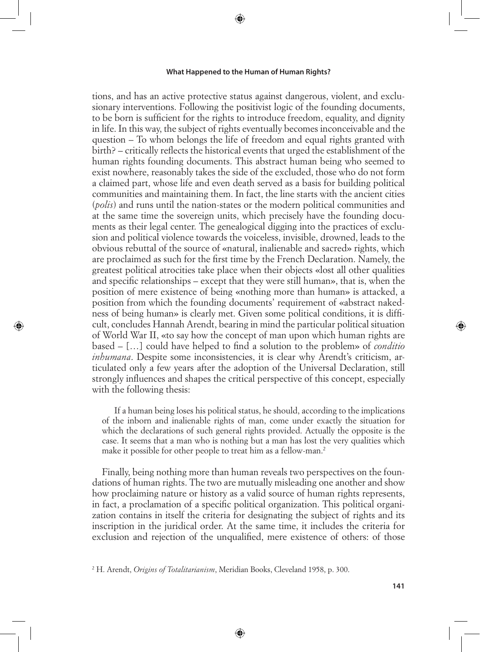⊕

tions, and has an active protective status against dangerous, violent, and exclusionary interventions. Following the positivist logic of the founding documents, to be born is sufficient for the rights to introduce freedom, equality, and dignity in life. In this way, the subject of rights eventually becomes inconceivable and the question – To whom belongs the life of freedom and equal rights granted with birth? – critically reflects the historical events that urged the establishment of the human rights founding documents. This abstract human being who seemed to exist nowhere, reasonably takes the side of the excluded, those who do not form a claimed part, whose life and even death served as a basis for building political communities and maintaining them. In fact, the line starts with the ancient cities (*polis*) and runs until the nation-states or the modern political communities and at the same time the sovereign units, which precisely have the founding documents as their legal center. The genealogical digging into the practices of exclusion and political violence towards the voiceless, invisible, drowned, leads to the obvious rebuttal of the source of «natural, inalienable and sacred» rights, which are proclaimed as such for the first time by the French Declaration. Namely, the greatest political atrocities take place when their objects «lost all other qualities and specific relationships – except that they were still human», that is, when the position of mere existence of being «nothing more than human» is attacked, a position from which the founding documents' requirement of «abstract nakedness of being human» is clearly met. Given some political conditions, it is difficult, concludes Hannah Arendt, bearing in mind the particular political situation of World War II, «to say how the concept of man upon which human rights are based – […] could have helped to find a solution to the problem» of *conditio inhumana*. Despite some inconsistencies, it is clear why Arendt's criticism, articulated only a few years after the adoption of the Universal Declaration, still strongly influences and shapes the critical perspective of this concept, especially with the following thesis:

⊕

If a human being loses his political status, he should, according to the implications of the inborn and inalienable rights of man, come under exactly the situation for which the declarations of such general rights provided. Actually the opposite is the case. It seems that a man who is nothing but a man has lost the very qualities which make it possible for other people to treat him as a fellow-man.<sup>2</sup>

Finally, being nothing more than human reveals two perspectives on the foundations of human rights. The two are mutually misleading one another and show how proclaiming nature or history as a valid source of human rights represents, in fact, a proclamation of a specific political organization. This political organization contains in itself the criteria for designating the subject of rights and its inscription in the juridical order. At the same time, it includes the criteria for exclusion and rejection of the unqualified, mere existence of others: of those

2 H. Arendt, *Origins of Totalitarianism*, Meridian Books, Cleveland 1958, p. 300.

⊕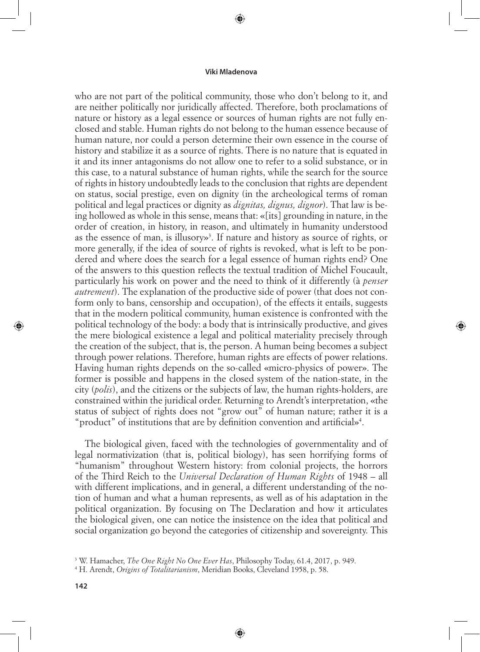⊕

who are not part of the political community, those who don't belong to it, and are neither politically nor juridically affected. Therefore, both proclamations of nature or history as a legal essence or sources of human rights are not fully enclosed and stable. Human rights do not belong to the human essence because of human nature, nor could a person determine their own essence in the course of history and stabilize it as a source of rights. There is no nature that is equated in it and its inner antagonisms do not allow one to refer to a solid substance, or in this case, to a natural substance of human rights, while the search for the source of rights in history undoubtedly leads to the conclusion that rights are dependent on status, social prestige, even on dignity (in the archeological terms of roman political and legal practices or dignity as *dignitas, dignus, dignor*). That law is being hollowed as whole in this sense, means that: «[its] grounding in nature, in the order of creation, in history, in reason, and ultimately in humanity understood as the essence of man, is illusory»<sup>3</sup>. If nature and history as source of rights, or more generally, if the idea of source of rights is revoked, what is left to be pondered and where does the search for a legal essence of human rights end? One of the answers to this question reflects the textual tradition of Michel Foucault, particularly his work on power and the need to think of it differently (à *penser autrement*). The explanation of the productive side of power (that does not conform only to bans, censorship and occupation), of the effects it entails, suggests that in the modern political community, human existence is confronted with the political technology of the body: a body that is intrinsically productive, and gives the mere biological existence a legal and political materiality precisely through the creation of the subject, that is, the person. A human being becomes a subject through power relations. Therefore, human rights are effects of power relations. Having human rights depends on the so-called «micro-physics of power». The former is possible and happens in the closed system of the nation-state, in the city (*polis*), and the citizens or the subjects of law, the human rights-holders, are constrained within the juridical order. Returning to Arendt's interpretation, «the status of subject of rights does not "grow out" of human nature; rather it is a "product" of institutions that are by definition convention and artificial»4 .

⇔

The biological given, faced with the technologies of governmentality and of legal normativization (that is, political biology), has seen horrifying forms of "humanism" throughout Western history: from colonial projects, the horrors of the Third Reich to the *Universal Declaration of Human Rights* of 1948 – all with different implications, and in general, a different understanding of the notion of human and what a human represents, as well as of his adaptation in the political organization. By focusing on The Declaration and how it articulates the biological given, one can notice the insistence on the idea that political and social organization go beyond the categories of citizenship and sovereignty. This

⊕

<sup>3</sup> W. Hamacher, *The One Right No One Ever Has*, Philosophy Today, 61.4, 2017, p. 949.

<sup>4</sup> H. Arendt, *Origins of Totalitarianism*, Meridian Books, Cleveland 1958, p. 58.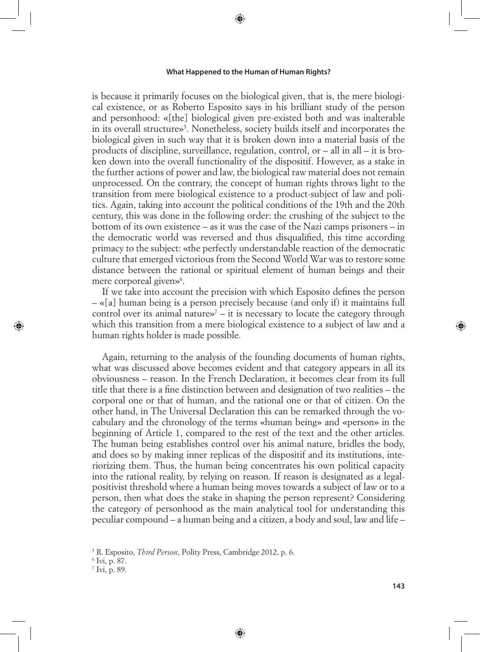⊕

is because it primarily focuses on the biological given, that is, the mere biological existence, or as Roberto Esposito says in his brilliant study of the person and personhood: «[the] biological given pre-existed both and was inalterable in its overall structure»5 . Nonetheless, society builds itself and incorporates the biological given in such way that it is broken down into a material basis of the products of discipline, surveillance, regulation, control, or – all in all – it is broken down into the overall functionality of the dispositif. However, as a stake in the further actions of power and law, the biological raw material does not remain unprocessed. On the contrary, the concept of human rights throws light to the transition from mere biological existence to a product-subject of law and politics. Again, taking into account the political conditions of the 19th and the 20th century, this was done in the following order: the crushing of the subject to the bottom of its own existence – as it was the case of the Nazi camps prisoners – in the democratic world was reversed and thus disqualified, this time according primacy to the subject: «the perfectly understandable reaction of the democratic culture that emerged victorious from the Second World War was to restore some distance between the rational or spiritual element of human beings and their mere corporeal given»<sup>6</sup>.

If we take into account the precision with which Esposito defines the person – «[a] human being is a person precisely because (and only if) it maintains full control over its animal nature $\mathbf{v}^7$  – it is necessary to locate the category through which this transition from a mere biological existence to a subject of law and a human rights holder is made possible.

Again, returning to the analysis of the founding documents of human rights, what was discussed above becomes evident and that category appears in all its obviousness – reason. In the French Declaration, it becomes clear from its full title that there is a fine distinction between and designation of two realities – the corporal one or that of human, and the rational one or that of citizen. On the other hand, in The Universal Declaration this can be remarked through the vocabulary and the chronology of the terms «human being» and «person» in the beginning of Article 1, compared to the rest of the text and the other articles. The human being establishes control over his animal nature, bridles the body, and does so by making inner replicas of the dispositif and its institutions, interiorizing them. Thus, the human being concentrates his own political capacity into the rational reality, by relying on reason. If reason is designated as a legalpositivist threshold where a human being moves towards a subject of law or to a person, then what does the stake in shaping the person represent? Considering the category of personhood as the main analytical tool for understanding this peculiar compound – a human being and a citizen, a body and soul, law and life –

⊕

6 Ivi, p. 87.

⊕

7 Ivi, p. 89.

<sup>5</sup> R. Esposito, *Third Person*, Polity Press, Cambridge 2012, p. 6.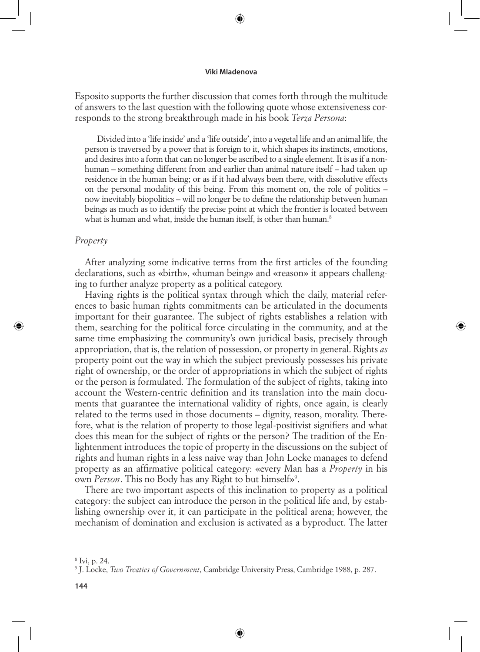⊕

Esposito supports the further discussion that comes forth through the multitude of answers to the last question with the following quote whose extensiveness corresponds to the strong breakthrough made in his book *Terza Persona*:

Divided into a 'life inside' and a 'life outside', into a vegetal life and an animal life, the person is traversed by a power that is foreign to it, which shapes its instincts, emotions, and desires into a form that can no longer be ascribed to a single element. It is as if a nonhuman – something different from and earlier than animal nature itself – had taken up residence in the human being; or as if it had always been there, with dissolutive effects on the personal modality of this being. From this moment on, the role of politics – now inevitably biopolitics – will no longer be to define the relationship between human beings as much as to identify the precise point at which the frontier is located between what is human and what, inside the human itself, is other than human.<sup>8</sup>

#### *Property*

⊕

After analyzing some indicative terms from the first articles of the founding declarations, such as «birth», «human being» and «reason» it appears challenging to further analyze property as a political category.

⊕

Having rights is the political syntax through which the daily, material references to basic human rights commitments can be articulated in the documents important for their guarantee. The subject of rights establishes a relation with them, searching for the political force circulating in the community, and at the same time emphasizing the community's own juridical basis, precisely through appropriation, that is, the relation of possession, or property in general. Rights *as* property point out the way in which the subject previously possesses his private right of ownership, or the order of appropriations in which the subject of rights or the person is formulated. The formulation of the subject of rights, taking into account the Western-centric definition and its translation into the main documents that guarantee the international validity of rights, once again, is clearly related to the terms used in those documents – dignity, reason, morality. Therefore, what is the relation of property to those legal-positivist signifiers and what does this mean for the subject of rights or the person? The tradition of the Enlightenment introduces the topic of property in the discussions on the subject of rights and human rights in a less naive way than John Locke manages to defend property as an affirmative political category: «every Man has a *Property* in his own Person. This no Body has any Right to but himself»<sup>9</sup>.

There are two important aspects of this inclination to property as a political category: the subject can introduce the person in the political life and, by establishing ownership over it, it can participate in the political arena; however, the mechanism of domination and exclusion is activated as a byproduct. The latter

<sup>8</sup> Ivi, p. 24.

<sup>9</sup> J. Locke, *Two Treaties of Government*, Cambridge University Press, Cambridge 1988, p. 287.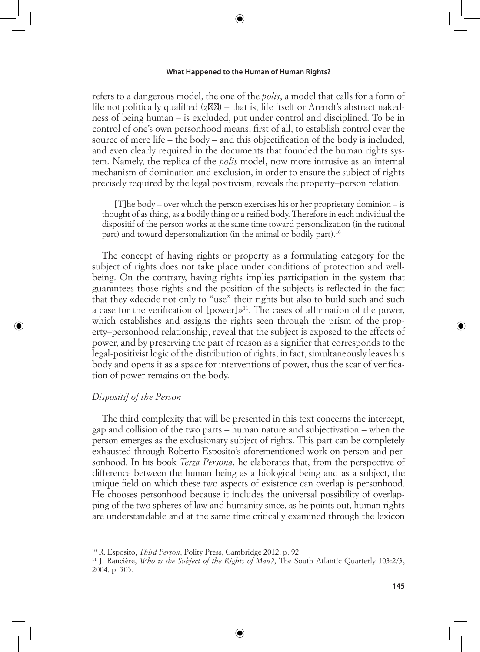⊕

refers to a dangerous model, the one of the *polis*, a model that calls for a form of life not politically qualified  $(z)$  – that is, life itself or Arendt's abstract nakedness of being human – is excluded, put under control and disciplined. To be in control of one's own personhood means, first of all, to establish control over the source of mere life – the body – and this objectification of the body is included, and even clearly required in the documents that founded the human rights system. Namely, the replica of the *polis* model, now more intrusive as an internal mechanism of domination and exclusion, in order to ensure the subject of rights precisely required by the legal positivism, reveals the property–person relation.

[T]he body – over which the person exercises his or her proprietary dominion – is thought of as thing, as a bodily thing or a reified body. Therefore in each individual the dispositif of the person works at the same time toward personalization (in the rational part) and toward depersonalization (in the animal or bodily part).10

The concept of having rights or property as a formulating category for the subject of rights does not take place under conditions of protection and wellbeing. On the contrary, having rights implies participation in the system that guarantees those rights and the position of the subjects is reflected in the fact that they «decide not only to "use" their rights but also to build such and such a case for the verification of  $[power] \gg 11$ . The cases of affirmation of the power, which establishes and assigns the rights seen through the prism of the property–personhood relationship, reveal that the subject is exposed to the effects of power, and by preserving the part of reason as a signifier that corresponds to the legal-positivist logic of the distribution of rights, in fact, simultaneously leaves his body and opens it as a space for interventions of power, thus the scar of verification of power remains on the body.

# *Dispositif of the Person*

⊕

The third complexity that will be presented in this text concerns the intercept, gap and collision of the two parts – human nature and subjectivation – when the person emerges as the exclusionary subject of rights. This part can be completely exhausted through Roberto Esposito's aforementioned work on person and personhood. In his book *Terza Persona*, he elaborates that, from the perspective of difference between the human being as a biological being and as a subject, the unique field on which these two aspects of existence can overlap is personhood. He chooses personhood because it includes the universal possibility of overlapping of the two spheres of law and humanity since, as he points out, human rights are understandable and at the same time critically examined through the lexicon

10 R. Esposito, *Third Person*, Polity Press, Cambridge 2012, p. 92.

11 J. Rancière, *Who is the Subject of the Rights of Man?*, The South Atlantic Quarterly 103:2/3, 2004, p. 303.

⊕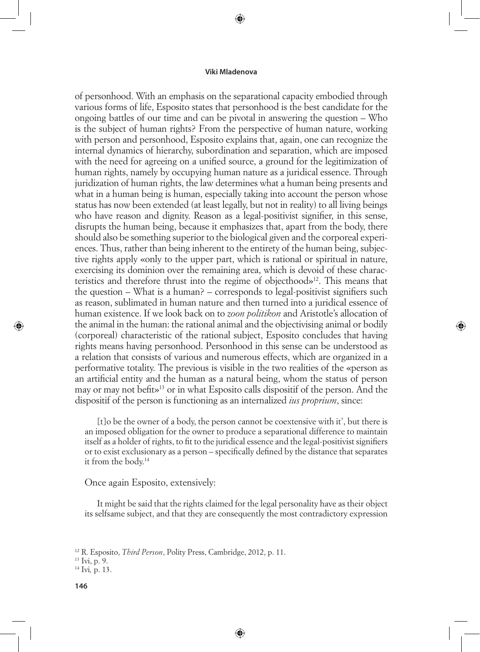⊕

of personhood. With an emphasis on the separational capacity embodied through various forms of life, Esposito states that personhood is the best candidate for the ongoing battles of our time and can be pivotal in answering the question – Who is the subject of human rights? From the perspective of human nature, working with person and personhood, Esposito explains that, again, one can recognize the internal dynamics of hierarchy, subordination and separation, which are imposed with the need for agreeing on a unified source, a ground for the legitimization of human rights, namely by occupying human nature as a juridical essence. Through juridization of human rights, the law determines what a human being presents and what in a human being is human, especially taking into account the person whose status has now been extended (at least legally, but not in reality) to all living beings who have reason and dignity. Reason as a legal-positivist signifier, in this sense, disrupts the human being, because it emphasizes that, apart from the body, there should also be something superior to the biological given and the corporeal experiences. Thus, rather than being inherent to the entirety of the human being, subjective rights apply «only to the upper part, which is rational or spiritual in nature, exercising its dominion over the remaining area, which is devoid of these characteristics and therefore thrust into the regime of objecthood»12. This means that the question – What is a human? – corresponds to legal-positivist signifiers such as reason, sublimated in human nature and then turned into a juridical essence of human existence. If we look back on to *zoon politikon* and Aristotle's allocation of the animal in the human: the rational animal and the objectivising animal or bodily (corporeal) characteristic of the rational subject, Esposito concludes that having rights means having personhood. Personhood in this sense can be understood as a relation that consists of various and numerous effects, which are organized in a performative totality. The previous is visible in the two realities of the «person as an artificial entity and the human as a natural being, whom the status of person may or may not befit»13 or in what Esposito calls dispositif of the person. And the dispositif of the person is functioning as an internalized *ius proprium*, since:

⊕

[t]o be the owner of a body, the person cannot be coextensive with it', but there is an imposed obligation for the owner to produce a separational difference to maintain itself as a holder of rights, to fit to the juridical essence and the legal-positivist signifiers or to exist exclusionary as a person – specifically defined by the distance that separates it from the body.14

Once again Esposito, extensively:

It might be said that the rights claimed for the legal personality have as their object its selfsame subject, and that they are consequently the most contradictory expression

⊕

13 Ivi, p. 9.

<sup>12</sup> R. Esposito, *Third Person*, Polity Press, Cambridge, 2012, p. 11.

<sup>14</sup> Ivi*,* p. 13.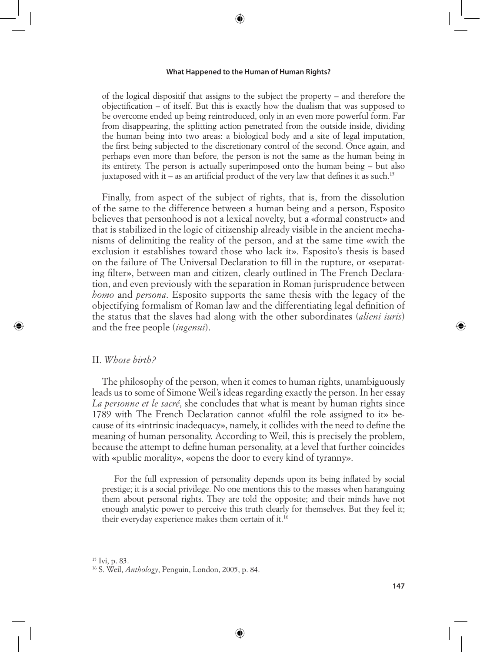⊕

of the logical dispositif that assigns to the subject the property – and therefore the objectification – of itself. But this is exactly how the dualism that was supposed to be overcome ended up being reintroduced, only in an even more powerful form. Far from disappearing, the splitting action penetrated from the outside inside, dividing the human being into two areas: a biological body and a site of legal imputation, the first being subjected to the discretionary control of the second. Once again, and perhaps even more than before, the person is not the same as the human being in its entirety. The person is actually superimposed onto the human being – but also juxtaposed with it – as an artificial product of the very law that defines it as such.<sup>15</sup>

Finally, from aspect of the subject of rights, that is, from the dissolution of the same to the difference between a human being and a person, Esposito believes that personhood is not a lexical novelty, but a «formal construct» and that is stabilized in the logic of citizenship already visible in the ancient mechanisms of delimiting the reality of the person, and at the same time «with the exclusion it establishes toward those who lack it». Esposito's thesis is based on the failure of The Universal Declaration to fill in the rupture, or «separating filter», between man and citizen, clearly outlined in The French Declaration, and even previously with the separation in Roman jurisprudence between *homo* and *persona*. Esposito supports the same thesis with the legacy of the objectifying formalism of Roman law and the differentiating legal definition of the status that the slaves had along with the other subordinates (*alieni iuris*) and the free people (*ingenui*).

## II. *Whose birth?*

⊕

The philosophy of the person, when it comes to human rights, unambiguously leads us to some of Simone Weil's ideas regarding exactly the person. In her essay *La personne et le sacré*, she concludes that what is meant by human rights since 1789 with The French Declaration cannot «fulfil the role assigned to it» because of its «intrinsic inadequacy», namely, it collides with the need to define the meaning of human personality. According to Weil, this is precisely the problem, because the attempt to define human personality, at a level that further coincides with «public morality», «opens the door to every kind of tyranny».

For the full expression of personality depends upon its being inflated by social prestige; it is a social privilege. No one mentions this to the masses when haranguing them about personal rights. They are told the opposite; and their minds have not enough analytic power to perceive this truth clearly for themselves. But they feel it; their everyday experience makes them certain of it.16

⊕

 $15$  Ivi, p. 83.

<sup>16</sup> S. Weil, *Anthology*, Penguin, London, 2005, p. 84.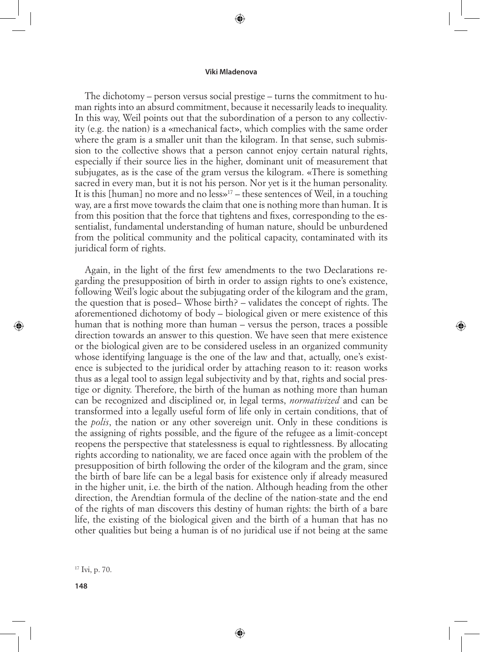⊕

The dichotomy – person versus social prestige – turns the commitment to human rights into an absurd commitment, because it necessarily leads to inequality. In this way, Weil points out that the subordination of a person to any collectivity (e.g. the nation) is a «mechanical fact», which complies with the same order where the gram is a smaller unit than the kilogram. In that sense, such submission to the collective shows that a person cannot enjoy certain natural rights, especially if their source lies in the higher, dominant unit of measurement that subjugates, as is the case of the gram versus the kilogram. «There is something sacred in every man, but it is not his person. Nor yet is it the human personality. It is this [human] no more and no  $less<sup>17</sup>$  – these sentences of Weil, in a touching way, are a first move towards the claim that one is nothing more than human. It is from this position that the force that tightens and fixes, corresponding to the essentialist, fundamental understanding of human nature, should be unburdened from the political community and the political capacity, contaminated with its juridical form of rights.

Again, in the light of the first few amendments to the two Declarations regarding the presupposition of birth in order to assign rights to one's existence, following Weil's logic about the subjugating order of the kilogram and the gram, the question that is posed– Whose birth? – validates the concept of rights. The aforementioned dichotomy of body – biological given or mere existence of this human that is nothing more than human – versus the person, traces a possible direction towards an answer to this question. We have seen that mere existence or the biological given are to be considered useless in an organized community whose identifying language is the one of the law and that, actually, one's existence is subjected to the juridical order by attaching reason to it: reason works thus as a legal tool to assign legal subjectivity and by that, rights and social prestige or dignity. Therefore, the birth of the human as nothing more than human can be recognized and disciplined or, in legal terms, *normativized* and can be transformed into a legally useful form of life only in certain conditions, that of the *polis*, the nation or any other sovereign unit. Only in these conditions is the assigning of rights possible, and the figure of the refugee as a limit-concept reopens the perspective that statelessness is equal to rightlessness. By allocating rights according to nationality, we are faced once again with the problem of the presupposition of birth following the order of the kilogram and the gram, since the birth of bare life can be a legal basis for existence only if already measured in the higher unit, i.e. the birth of the nation. Although heading from the other direction, the Arendtian formula of the decline of the nation-state and the end of the rights of man discovers this destiny of human rights: the birth of a bare life, the existing of the biological given and the birth of a human that has no other qualities but being a human is of no juridical use if not being at the same

⊕

⊕

17 Ivi, p. 70.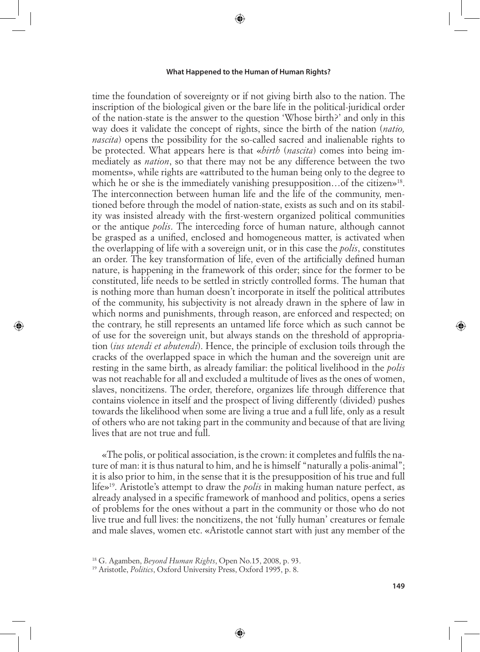⊕

time the foundation of sovereignty or if not giving birth also to the nation. The inscription of the biological given or the bare life in the political-juridical order of the nation-state is the answer to the question 'Whose birth?' and only in this way does it validate the concept of rights, since the birth of the nation (*natio, nascita*) opens the possibility for the so-called sacred and inalienable rights to be protected. What appears here is that «*birth* (*nascita*) comes into being immediately as *nation*, so that there may not be any difference between the two moments», while rights are «attributed to the human being only to the degree to which he or she is the immediately vanishing presupposition... of the citizen»<sup>18</sup>. The interconnection between human life and the life of the community, mentioned before through the model of nation-state, exists as such and on its stability was insisted already with the first-western organized political communities or the antique *polis*. The interceding force of human nature, although cannot be grasped as a unified, enclosed and homogeneous matter, is activated when the overlapping of life with a sovereign unit, or in this case the *polis*, constitutes an order. The key transformation of life, even of the artificially defined human nature, is happening in the framework of this order; since for the former to be constituted, life needs to be settled in strictly controlled forms. The human that is nothing more than human doesn't incorporate in itself the political attributes of the community, his subjectivity is not already drawn in the sphere of law in which norms and punishments, through reason, are enforced and respected; on the contrary, he still represents an untamed life force which as such cannot be of use for the sovereign unit, but always stands on the threshold of appropriation (*ius utendi et abutendi*). Hence, the principle of exclusion toils through the cracks of the overlapped space in which the human and the sovereign unit are resting in the same birth, as already familiar: the political livelihood in the *polis*  was not reachable for all and excluded a multitude of lives as the ones of women, slaves, noncitizens. The order, therefore, organizes life through difference that contains violence in itself and the prospect of living differently (divided) pushes towards the likelihood when some are living a true and a full life, only as a result of others who are not taking part in the community and because of that are living lives that are not true and full.

«The polis, or political association, is the crown: it completes and fulfils the nature of man: it is thus natural to him, and he is himself "naturally a polis-animal"; it is also prior to him, in the sense that it is the presupposition of his true and full life»19. Aristotle's attempt to draw the *polis* in making human nature perfect, as already analysed in a specific framework of manhood and politics, opens a series of problems for the ones without a part in the community or those who do not live true and full lives: the noncitizens, the not 'fully human' creatures or female and male slaves, women etc. «Aristotle cannot start with just any member of the

⊕

⊕

<sup>18</sup> G. Agamben, *Beyond Human Rights*, Open No.15, 2008, p. 93.

<sup>19</sup> Aristotle, *Politics*, Oxford University Press, Oxford 1995, p. 8.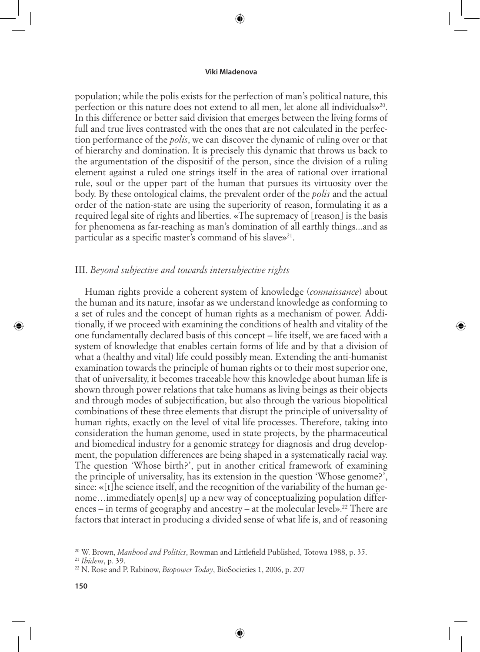⊕

population; while the polis exists for the perfection of man's political nature, this perfection or this nature does not extend to all men, let alone all individuals»20. In this difference or better said division that emerges between the living forms of full and true lives contrasted with the ones that are not calculated in the perfection performance of the *polis*, we can discover the dynamic of ruling over or that of hierarchy and domination. It is precisely this dynamic that throws us back to the argumentation of the dispositif of the person, since the division of a ruling element against a ruled one strings itself in the area of rational over irrational rule, soul or the upper part of the human that pursues its virtuosity over the body. By these ontological claims, the prevalent order of the *polis* and the actual order of the nation-state are using the superiority of reason, formulating it as a required legal site of rights and liberties. «The supremacy of [reason] is the basis for phenomena as far-reaching as man's domination of all earthly things...and as particular as a specific master's command of his slave»<sup>21</sup>.

# III. *Beyond subjective and towards intersubjective rights*

Human rights provide a coherent system of knowledge (*connaissance*) about the human and its nature, insofar as we understand knowledge as conforming to a set of rules and the concept of human rights as a mechanism of power. Additionally, if we proceed with examining the conditions of health and vitality of the one fundamentally declared basis of this concept – life itself, we are faced with a system of knowledge that enables certain forms of life and by that a division of what a (healthy and vital) life could possibly mean. Extending the anti-humanist examination towards the principle of human rights or to their most superior one, that of universality, it becomes traceable how this knowledge about human life is shown through power relations that take humans as living beings as their objects and through modes of subjectification, but also through the various biopolitical combinations of these three elements that disrupt the principle of universality of human rights, exactly on the level of vital life processes. Therefore, taking into consideration the human genome, used in state projects, by the pharmaceutical and biomedical industry for a genomic strategy for diagnosis and drug development, the population differences are being shaped in a systematically racial way. The question 'Whose birth?', put in another critical framework of examining the principle of universality, has its extension in the question 'Whose genome?', since: «[t]he science itself, and the recognition of the variability of the human genome…immediately open[s] up a new way of conceptualizing population differences – in terms of geography and ancestry – at the molecular level».<sup>22</sup> There are factors that interact in producing a divided sense of what life is, and of reasoning

⊕

⊕

<sup>20</sup> W. Brown, *Manhood and Politics*, Rowman and Littlefield Published, Totowa 1988, p. 35.

<sup>21</sup> *Ibidem*, p. 39.

<sup>22</sup> N. Rose and P. Rabinow, *Biopower Today*, BioSocieties 1, 2006, p. 207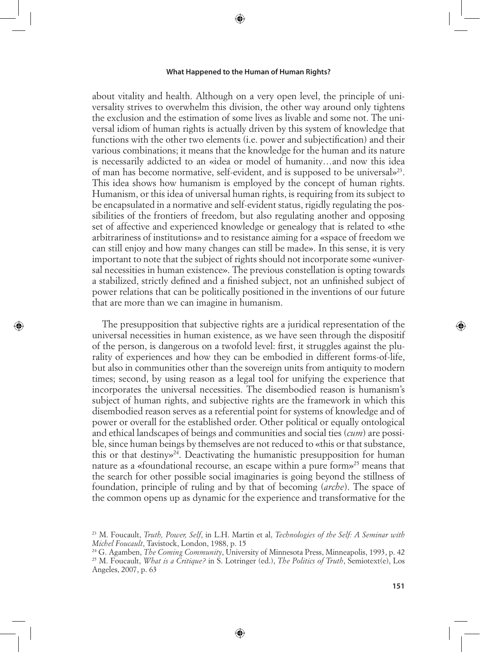⊕

about vitality and health. Although on a very open level, the principle of universality strives to overwhelm this division, the other way around only tightens the exclusion and the estimation of some lives as livable and some not. The universal idiom of human rights is actually driven by this system of knowledge that functions with the other two elements (i.e. power and subjectification) and their various combinations; it means that the knowledge for the human and its nature is necessarily addicted to an «idea or model of humanity…and now this idea of man has become normative, self-evident, and is supposed to be universal»23. This idea shows how humanism is employed by the concept of human rights. Humanism, or this idea of universal human rights, is requiring from its subject to be encapsulated in a normative and self-evident status, rigidly regulating the possibilities of the frontiers of freedom, but also regulating another and opposing set of affective and experienced knowledge or genealogy that is related to «the arbitrariness of institutions» and to resistance aiming for a «space of freedom we can still enjoy and how many changes can still be made». In this sense, it is very important to note that the subject of rights should not incorporate some «universal necessities in human existence». The previous constellation is opting towards a stabilized, strictly defined and a finished subject, not an unfinished subject of power relations that can be politically positioned in the inventions of our future that are more than we can imagine in humanism.

The presupposition that subjective rights are a juridical representation of the universal necessities in human existence, as we have seen through the dispositif of the person, is dangerous on a twofold level: first, it struggles against the plurality of experiences and how they can be embodied in different forms-of-life, but also in communities other than the sovereign units from antiquity to modern times; second, by using reason as a legal tool for unifying the experience that incorporates the universal necessities. The disembodied reason is humanism's subject of human rights, and subjective rights are the framework in which this disembodied reason serves as a referential point for systems of knowledge and of power or overall for the established order. Other political or equally ontological and ethical landscapes of beings and communities and social ties (*cum*) are possible, since human beings by themselves are not reduced to «this or that substance, this or that destiny»24. Deactivating the humanistic presupposition for human nature as a «foundational recourse, an escape within a pure form»<sup>25</sup> means that the search for other possible social imaginaries is going beyond the stillness of foundation, principle of ruling and by that of becoming (*arche*). The space of the common opens up as dynamic for the experience and transformative for the

⊕

⊕

⇔

<sup>23</sup> M. Foucault, *Truth, Power, Self*, in L.H. Martin et al, *Technologies of the Self: A Seminar with Michel Foucault*, Tavistock, London, 1988, p. 15 24 G. Agamben, *The Coming Community*, University of Minnesota Press, Minneapolis, 1993, p. 42

<sup>25</sup> M. Foucault, *What is a Critique?* in S. Lotringer (ed.), *The Politics of Truth*, Semiotext(e), Los Angeles, 2007, p. 63